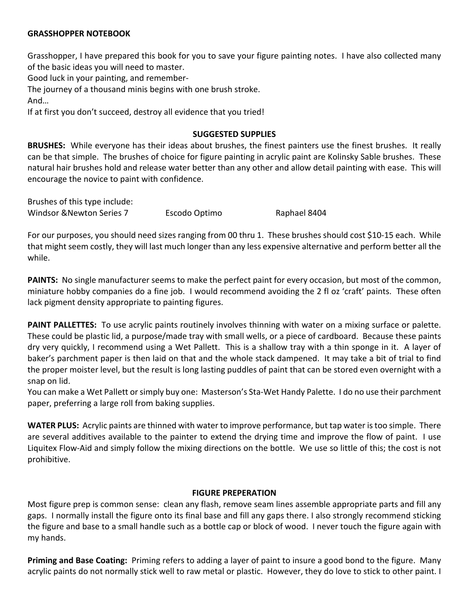#### **GRASSHOPPER NOTEBOOK**

Grasshopper, I have prepared this book for you to save your figure painting notes. I have also collected many of the basic ideas you will need to master.

Good luck in your painting, and remember-

The journey of a thousand minis begins with one brush stroke.

And…

If at first you don't succeed, destroy all evidence that you tried!

#### **SUGGESTED SUPPLIES**

**BRUSHES:** While everyone has their ideas about brushes, the finest painters use the finest brushes. It really can be that simple. The brushes of choice for figure painting in acrylic paint are Kolinsky Sable brushes. These natural hair brushes hold and release water better than any other and allow detail painting with ease. This will encourage the novice to paint with confidence.

Brushes of this type include: Windsor &Newton Series 7 Escodo Optimo Raphael 8404

For our purposes, you should need sizes ranging from 00 thru 1. These brushes should cost \$10-15 each. While that might seem costly, they will last much longer than any less expensive alternative and perform better all the while.

**PAINTS:** No single manufacturer seems to make the perfect paint for every occasion, but most of the common, miniature hobby companies do a fine job. I would recommend avoiding the 2 fl oz 'craft' paints. These often lack pigment density appropriate to painting figures.

**PAINT PALLETTES:** To use acrylic paints routinely involves thinning with water on a mixing surface or palette. These could be plastic lid, a purpose/made tray with small wells, or a piece of cardboard. Because these paints dry very quickly, I recommend using a Wet Pallett. This is a shallow tray with a thin sponge in it. A layer of baker's parchment paper is then laid on that and the whole stack dampened. It may take a bit of trial to find the proper moister level, but the result is long lasting puddles of paint that can be stored even overnight with a snap on lid.

You can make a Wet Pallett or simply buy one: Masterson's Sta-Wet Handy Palette. I do no use their parchment paper, preferring a large roll from baking supplies.

**WATER PLUS:** Acrylic paints are thinned with water to improve performance, but tap water is too simple. There are several additives available to the painter to extend the drying time and improve the flow of paint. I use Liquitex Flow-Aid and simply follow the mixing directions on the bottle. We use so little of this; the cost is not prohibitive.

#### **FIGURE PREPERATION**

Most figure prep is common sense: clean any flash, remove seam lines assemble appropriate parts and fill any gaps. I normally install the figure onto its final base and fill any gaps there. I also strongly recommend sticking the figure and base to a small handle such as a bottle cap or block of wood. I never touch the figure again with my hands.

**Priming and Base Coating:** Priming refers to adding a layer of paint to insure a good bond to the figure. Many acrylic paints do not normally stick well to raw metal or plastic. However, they do love to stick to other paint. I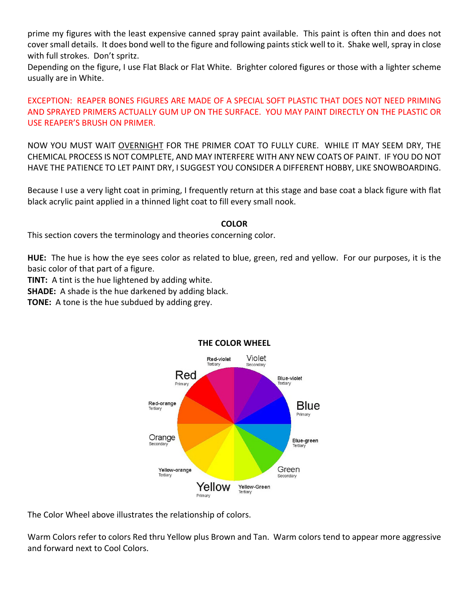prime my figures with the least expensive canned spray paint available. This paint is often thin and does not cover small details. It does bond well to the figure and following paints stick well to it. Shake well, spray in close with full strokes. Don't spritz.

Depending on the figure, I use Flat Black or Flat White. Brighter colored figures or those with a lighter scheme usually are in White.

# EXCEPTION: REAPER BONES FIGURES ARE MADE OF A SPECIAL SOFT PLASTIC THAT DOES NOT NEED PRIMING AND SPRAYED PRIMERS ACTUALLY GUM UP ON THE SURFACE. YOU MAY PAINT DIRECTLY ON THE PLASTIC OR USE REAPER'S BRUSH ON PRIMER.

NOW YOU MUST WAIT OVERNIGHT FOR THE PRIMER COAT TO FULLY CURE. WHILE IT MAY SEEM DRY, THE CHEMICAL PROCESS IS NOT COMPLETE, AND MAY INTERFERE WITH ANY NEW COATS OF PAINT. IF YOU DO NOT HAVE THE PATIENCE TO LET PAINT DRY, I SUGGEST YOU CONSIDER A DIFFERENT HOBBY, LIKE SNOWBOARDING.

Because I use a very light coat in priming, I frequently return at this stage and base coat a black figure with flat black acrylic paint applied in a thinned light coat to fill every small nook.

## **COLOR**

This section covers the terminology and theories concerning color.

**HUE:** The hue is how the eye sees color as related to blue, green, red and yellow. For our purposes, it is the basic color of that part of a figure.

**TINT:** A tint is the hue lightened by adding white.

**SHADE:** A shade is the hue darkened by adding black.

**TONE:** A tone is the hue subdued by adding grey.



# **THE COLOR WHEEL**

The Color Wheel above illustrates the relationship of colors.

Warm Colors refer to colors Red thru Yellow plus Brown and Tan. Warm colors tend to appear more aggressive and forward next to Cool Colors.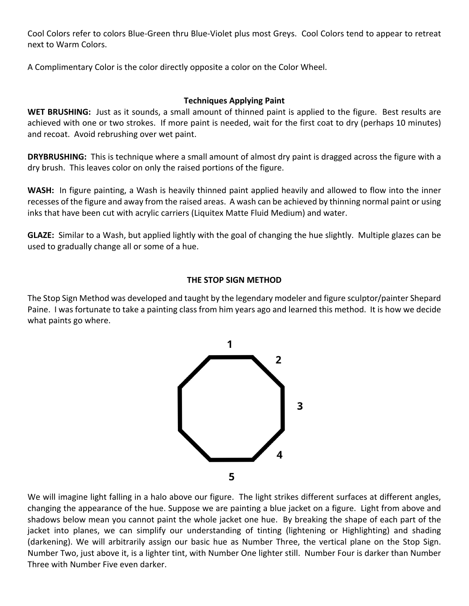Cool Colors refer to colors Blue-Green thru Blue-Violet plus most Greys. Cool Colors tend to appear to retreat next to Warm Colors.

A Complimentary Color is the color directly opposite a color on the Color Wheel.

# **Techniques Applying Paint**

WET BRUSHING: Just as it sounds, a small amount of thinned paint is applied to the figure. Best results are achieved with one or two strokes. If more paint is needed, wait for the first coat to dry (perhaps 10 minutes) and recoat. Avoid rebrushing over wet paint.

**DRYBRUSHING:** This is technique where a small amount of almost dry paint is dragged across the figure with a dry brush. This leaves color on only the raised portions of the figure.

**WASH:** In figure painting, a Wash is heavily thinned paint applied heavily and allowed to flow into the inner recesses of the figure and away from the raised areas. A wash can be achieved by thinning normal paint or using inks that have been cut with acrylic carriers (Liquitex Matte Fluid Medium) and water.

**GLAZE:** Similar to a Wash, but applied lightly with the goal of changing the hue slightly. Multiple glazes can be used to gradually change all or some of a hue.

# **THE STOP SIGN METHOD**

The Stop Sign Method was developed and taught by the legendary modeler and figure sculptor/painter Shepard Paine. I was fortunate to take a painting class from him years ago and learned this method. It is how we decide what paints go where.



We will imagine light falling in a halo above our figure. The light strikes different surfaces at different angles, changing the appearance of the hue. Suppose we are painting a blue jacket on a figure. Light from above and shadows below mean you cannot paint the whole jacket one hue. By breaking the shape of each part of the jacket into planes, we can simplify our understanding of tinting (lightening or Highlighting) and shading (darkening). We will arbitrarily assign our basic hue as Number Three, the vertical plane on the Stop Sign. Number Two, just above it, is a lighter tint, with Number One lighter still. Number Four is darker than Number Three with Number Five even darker.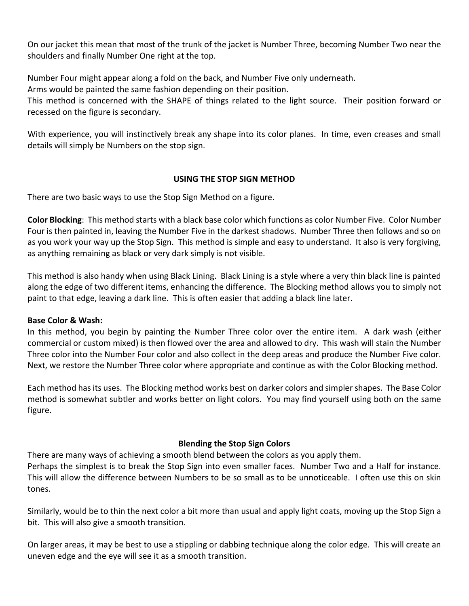On our jacket this mean that most of the trunk of the jacket is Number Three, becoming Number Two near the shoulders and finally Number One right at the top.

Number Four might appear along a fold on the back, and Number Five only underneath.

Arms would be painted the same fashion depending on their position.

This method is concerned with the SHAPE of things related to the light source. Their position forward or recessed on the figure is secondary.

With experience, you will instinctively break any shape into its color planes. In time, even creases and small details will simply be Numbers on the stop sign.

# **USING THE STOP SIGN METHOD**

There are two basic ways to use the Stop Sign Method on a figure.

**Color Blocking**: This method starts with a black base color which functions as color Number Five. Color Number Four is then painted in, leaving the Number Five in the darkest shadows. Number Three then follows and so on as you work your way up the Stop Sign. This method is simple and easy to understand. It also is very forgiving, as anything remaining as black or very dark simply is not visible.

This method is also handy when using Black Lining. Black Lining is a style where a very thin black line is painted along the edge of two different items, enhancing the difference. The Blocking method allows you to simply not paint to that edge, leaving a dark line. This is often easier that adding a black line later.

# **Base Color & Wash:**

In this method, you begin by painting the Number Three color over the entire item. A dark wash (either commercial or custom mixed) is then flowed over the area and allowed to dry. This wash will stain the Number Three color into the Number Four color and also collect in the deep areas and produce the Number Five color. Next, we restore the Number Three color where appropriate and continue as with the Color Blocking method.

Each method has its uses. The Blocking method works best on darker colors and simpler shapes. The Base Color method is somewhat subtler and works better on light colors. You may find yourself using both on the same figure.

# **Blending the Stop Sign Colors**

There are many ways of achieving a smooth blend between the colors as you apply them.

Perhaps the simplest is to break the Stop Sign into even smaller faces. Number Two and a Half for instance. This will allow the difference between Numbers to be so small as to be unnoticeable. I often use this on skin tones.

Similarly, would be to thin the next color a bit more than usual and apply light coats, moving up the Stop Sign a bit. This will also give a smooth transition.

On larger areas, it may be best to use a stippling or dabbing technique along the color edge. This will create an uneven edge and the eye will see it as a smooth transition.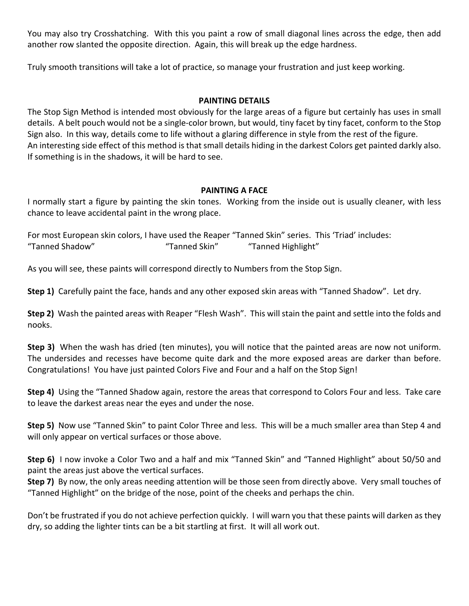You may also try Crosshatching. With this you paint a row of small diagonal lines across the edge, then add another row slanted the opposite direction. Again, this will break up the edge hardness.

Truly smooth transitions will take a lot of practice, so manage your frustration and just keep working.

## **PAINTING DETAILS**

The Stop Sign Method is intended most obviously for the large areas of a figure but certainly has uses in small details. A belt pouch would not be a single-color brown, but would, tiny facet by tiny facet, conform to the Stop Sign also. In this way, details come to life without a glaring difference in style from the rest of the figure. An interesting side effect of this method is that small details hiding in the darkest Colors get painted darkly also. If something is in the shadows, it will be hard to see.

## **PAINTING A FACE**

I normally start a figure by painting the skin tones. Working from the inside out is usually cleaner, with less chance to leave accidental paint in the wrong place.

For most European skin colors, I have used the Reaper "Tanned Skin" series. This 'Triad' includes: "Tanned Shadow" "Tanned Skin" "Tanned Highlight"

As you will see, these paints will correspond directly to Numbers from the Stop Sign.

**Step 1)** Carefully paint the face, hands and any other exposed skin areas with "Tanned Shadow". Let dry.

**Step 2)** Wash the painted areas with Reaper "Flesh Wash". This will stain the paint and settle into the folds and nooks.

**Step 3)** When the wash has dried (ten minutes), you will notice that the painted areas are now not uniform. The undersides and recesses have become quite dark and the more exposed areas are darker than before. Congratulations! You have just painted Colors Five and Four and a half on the Stop Sign!

**Step 4)** Using the "Tanned Shadow again, restore the areas that correspond to Colors Four and less. Take care to leave the darkest areas near the eyes and under the nose.

**Step 5)** Now use "Tanned Skin" to paint Color Three and less. This will be a much smaller area than Step 4 and will only appear on vertical surfaces or those above.

**Step 6)** I now invoke a Color Two and a half and mix "Tanned Skin" and "Tanned Highlight" about 50/50 and paint the areas just above the vertical surfaces.

**Step 7)** By now, the only areas needing attention will be those seen from directly above. Very small touches of "Tanned Highlight" on the bridge of the nose, point of the cheeks and perhaps the chin.

Don't be frustrated if you do not achieve perfection quickly. I will warn you that these paints will darken as they dry, so adding the lighter tints can be a bit startling at first. It will all work out.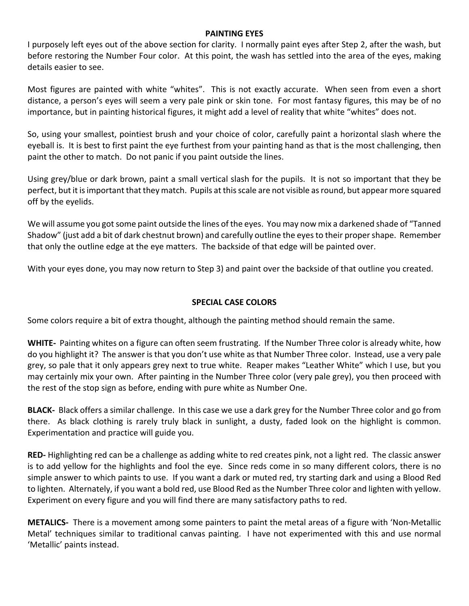#### **PAINTING EYES**

I purposely left eyes out of the above section for clarity. I normally paint eyes after Step 2, after the wash, but before restoring the Number Four color. At this point, the wash has settled into the area of the eyes, making details easier to see.

Most figures are painted with white "whites". This is not exactly accurate. When seen from even a short distance, a person's eyes will seem a very pale pink or skin tone. For most fantasy figures, this may be of no importance, but in painting historical figures, it might add a level of reality that white "whites" does not.

So, using your smallest, pointiest brush and your choice of color, carefully paint a horizontal slash where the eyeball is. It is best to first paint the eye furthest from your painting hand as that is the most challenging, then paint the other to match. Do not panic if you paint outside the lines.

Using grey/blue or dark brown, paint a small vertical slash for the pupils. It is not so important that they be perfect, but it is important that they match. Pupils at this scale are not visible as round, but appear more squared off by the eyelids.

We will assume you got some paint outside the lines of the eyes. You may now mix a darkened shade of "Tanned Shadow" (just add a bit of dark chestnut brown) and carefully outline the eyes to their proper shape. Remember that only the outline edge at the eye matters. The backside of that edge will be painted over.

With your eyes done, you may now return to Step 3) and paint over the backside of that outline you created.

## **SPECIAL CASE COLORS**

Some colors require a bit of extra thought, although the painting method should remain the same.

**WHITE-** Painting whites on a figure can often seem frustrating. If the Number Three color is already white, how do you highlight it? The answer is that you don't use white as that Number Three color. Instead, use a very pale grey, so pale that it only appears grey next to true white. Reaper makes "Leather White" which I use, but you may certainly mix your own. After painting in the Number Three color (very pale grey), you then proceed with the rest of the stop sign as before, ending with pure white as Number One.

**BLACK-** Black offers a similar challenge. In this case we use a dark grey for the Number Three color and go from there. As black clothing is rarely truly black in sunlight, a dusty, faded look on the highlight is common. Experimentation and practice will guide you.

**RED-** Highlighting red can be a challenge as adding white to red creates pink, not a light red. The classic answer is to add yellow for the highlights and fool the eye. Since reds come in so many different colors, there is no simple answer to which paints to use. If you want a dark or muted red, try starting dark and using a Blood Red to lighten. Alternately, if you want a bold red, use Blood Red as the Number Three color and lighten with yellow. Experiment on every figure and you will find there are many satisfactory paths to red.

**METALICS-** There is a movement among some painters to paint the metal areas of a figure with 'Non-Metallic Metal' techniques similar to traditional canvas painting. I have not experimented with this and use normal 'Metallic' paints instead.